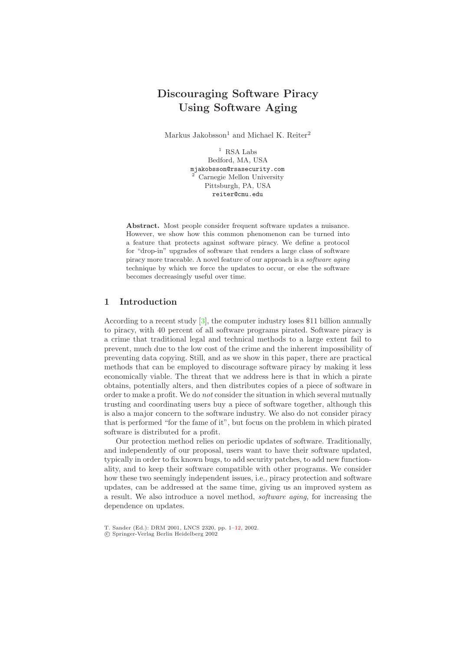# <span id="page-0-0"></span>**Discouraging Software Piracy Using Software Aging**

Markus Jakobsson<sup>1</sup> and Michael K. Reiter<sup>2</sup>

 $<sup>1</sup>$  RSA Labs</sup> Bedford, MA, USA mjakobsson@rsasecurity.com <sup>2</sup> Carnegie Mellon University Pittsburgh, PA, USA reiter@cmu.edu

**Abstract.** Most people consider frequent software updates a nuisance. However, we show how this common phenomenon can be turned into a feature that protects against software piracy.We define a protocol for "drop-in" upgrades of software that renders a large class of software piracy more traceable.A novel feature of our approach is a *software aging* technique by which we force the updates to occur, or else the software becomes decreasingly useful over time.

### **1 Introduction**

According to a recent study [\[3\]](#page-11-0), the computer industry loses \$11 billion annually to piracy, with 40 percent of all software programs pirated. Software piracy is a crime that traditional legal and technical methods to a large extent fail to prevent, much due to the lowcost of the crime and the inherent impossibility of preventing data copying. Still, and as we show in this paper, there are practical methods that can be employed to discourage software piracy by making it less economically viable. The threat that we address here is that in which a pirate obtains, potentially alters, and then distributes copies of a piece of software in order to make a profit. We do *not* consider the situation in which several mutually trusting and coordinating users buy a piece of software together, although this is also a major concern to the software industry. We also do not consider piracy that is performed "for the fame of it", but focus on the problem in which pirated software is distributed for a profit.

Our protection method relies on periodic updates of software. Traditionally, and independently of our proposal, users want to have their software updated, typically in order to fix known bugs, to add security patches, to add new functionality, and to keep their software compatible with other programs. We consider how these two seemingly independent issues, i.e., piracy protection and software updates, can be addressed at the same time, giving us an improved system as a result. We also introduce a novel method, *software aging*, for increasing the dependence on updates.

T. Sander (Ed.): DRM 2001, LNCS 2320, pp. 1[–12,](#page-11-1) 2002.

c Springer-Verlag Berlin Heidelberg 2002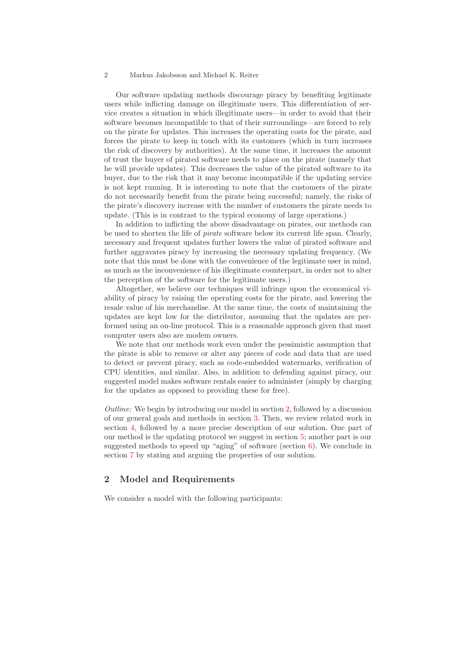Our software updating methods discourage piracy by benefiting legitimate users while inflicting damage on illegitimate users. This differentiation of service creates a situation in which illegitimate users—in order to avoid that their software becomes incompatible to that of their surroundings—are forced to rely on the pirate for updates. This increases the operating costs for the pirate, and forces the pirate to keep in touch with its customers (which in turn increases the risk of discovery by authorities). At the same time, it increases the amount of trust the buyer of pirated software needs to place on the pirate (namely that he will provide updates). This decreases the value of the pirated software to its buyer, due to the risk that it may become incompatible if the updating service is not kept running. It is interesting to note that the customers of the pirate do not necessarily benefit from the pirate being successful; namely, the risks of the pirate's discovery increase with the number of customers the pirate needs to update. (This is in contrast to the typical economy of large operations.)

In addition to inflicting the above disadvantage on pirates, our methods can be used to shorten the life of *pirate* software below its current life span. Clearly, necessary and frequent updates further lowers the value of pirated software and further aggravates piracy by increasing the necessary updating frequency. (We note that this must be done with the convenience of the legitimate user in mind, as much as the inconvenience of his illegitimate counterpart, in order not to alter the perception of the software for the legitimate users.)

Altogether, we believe our techniques will infringe upon the economical viability of piracy by raising the operating costs for the pirate, and lowering the resale value of his merchandise. At the same time, the costs of maintaining the updates are kept low for the distributor, assuming that the updates are performed using an on-line protocol. This is a reasonable approach given that most computer users also are modem owners.

We note that our methods work even under the pessimistic assumption that the pirate is able to remove or alter any pieces of code and data that are used to detect or prevent piracy, such as code-embedded watermarks, verification of CPU identities, and similar. Also, in addition to defending against piracy, our suggested model makes software rentals easier to administer (simply by charging for the updates as opposed to providing these for free).

*Outline:* We begin by introducing our model in section [2,](#page-1-0) followed by a discussion of our general goals and methods in section [3.](#page-2-0) Then, we review related work in section [4,](#page-5-0) followed by a more precise description of our solution. One part of our method is the updating protocol we suggest in section [5;](#page-5-1) another part is our suggested methods to speed up "aging" of software (section [6\)](#page-7-0). We conclude in section [7](#page-9-0) by stating and arguing the properties of our solution.

### <span id="page-1-0"></span>**2 Model and Requirements**

We consider a model with the following participants: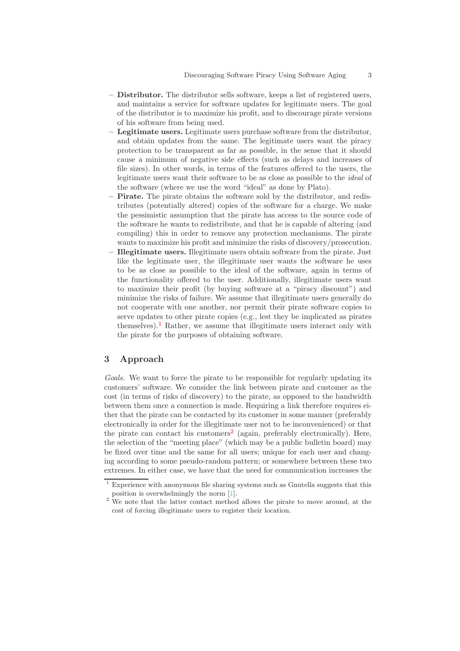- <span id="page-2-3"></span>**– Distributor.** The distributor sells software, keeps a list of registered users, and maintains a service for software updates for legitimate users. The goal of the distributor is to maximize his profit, and to discourage pirate versions of his software from being used.
- **Legitimate users.** Legitimate users purchase software from the distributor, and obtain updates from the same. The legitimate users want the piracy protection to be transparent as far as possible, in the sense that it should cause a minimum of negative side effects (such as delays and increases of file sizes). In other words, in terms of the features offered to the users, the legitimate users want their software to be as close as possible to the *ideal* of the software (where we use the word "ideal" as done by Plato).
- **Pirate.** The pirate obtains the software sold by the distributor, and redistributes (potentially altered) copies of the software for a charge. We make the pessimistic assumption that the pirate has access to the source code of the software he wants to redistribute, and that he is capable of altering (and compiling) this in order to remove any protection mechanisms. The pirate wants to maximize his profit and minimize the risks of discovery/prosecution.
- **Illegitimate users.** Illegitimate users obtain software from the pirate. Just like the legitimate user, the illegitimate user wants the software he uses to be as close as possible to the ideal of the software, again in terms of the functionality offered to the user. Additionally, illegitimate users want to maximize their profit (by buying software at a "piracy discount") and minimize the risks of failure. We assume that illegitimate users generally do not cooperate with one another, nor permit their pirate software copies to serve updates to other pirate copies (e.g., lest they be implicated as pirates themselves).<sup>[1](#page-2-1)</sup> Rather, we assume that illegitimate users interact only with the pirate for the purposes of obtaining software.

### <span id="page-2-2"></span><span id="page-2-1"></span><span id="page-2-0"></span>**3 Approach**

*Goals.* We want to force the pirate to be responsible for regularly updating its customers' software. We consider the link between pirate and customer as the cost (in terms of risks of discovery) to the pirate, as opposed to the bandwidth between them once a connection is made. Requiring a link therefore requires either that the pirate can be contacted by its customer in some manner (preferably electronically in order for the illegitimate user not to be inconvenienced) or that the pirate can contact his customers<sup>[2](#page-2-2)</sup> (again, preferably electronically). Here, the selection of the "meeting place" (which may be a public bulletin board) may be fixed over time and the same for all users; unique for each user and changing according to some pseudo-random pattern; or somewhere between these two extremes. In either case, we have that the need for communication increases the

<sup>&</sup>lt;sup>1</sup> Experience with anonymous file sharing systems such as Gnutella suggests that this position is overwhelmingly the norm [\[1\]](#page-11-2).

<sup>&</sup>lt;sup>2</sup> We note that the latter contact method allows the pirate to move around, at the cost of forcing illegitimate users to register their location.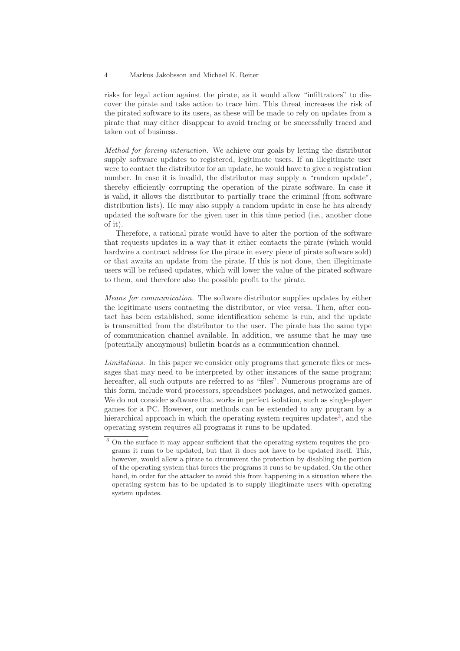risks for legal action against the pirate, as it would allow "infiltrators" to discover the pirate and take action to trace him. This threat increases the risk of the pirated software to its users, as these will be made to rely on updates from a pirate that may either disappear to avoid tracing or be successfully traced and taken out of business.

*Method for forcing interaction.* We achieve our goals by letting the distributor supply software updates to registered, legitimate users. If an illegitimate user were to contact the distributor for an update, he would have to give a registration number. In case it is invalid, the distributor may supply a "random update", thereby efficiently corrupting the operation of the pirate software. In case it is valid, it allows the distributor to partially trace the criminal (from software distribution lists). He may also supply a random update in case he has already updated the software for the given user in this time period (i.e., another clone of it).

Therefore, a rational pirate would have to alter the portion of the software that requests updates in a way that it either contacts the pirate (which would hardwire a contract address for the pirate in every piece of pirate software sold) or that awaits an update from the pirate. If this is not done, then illegitimate users will be refused updates, which will lower the value of the pirated software to them, and therefore also the possible profit to the pirate.

<span id="page-3-0"></span>*Means for communication.* The software distributor supplies updates by either the legitimate users contacting the distributor, or vice versa. Then, after contact has been established, some identification scheme is run, and the update is transmitted from the distributor to the user. The pirate has the same type of communication channel available. In addition, we assume that he may use (potentially anonymous) bulletin boards as a communication channel.

*Limitations.* In this paper we consider only programs that generate files or messages that may need to be interpreted by other instances of the same program; hereafter, all such outputs are referred to as "files". Numerous programs are of this form, include word processors, spreadsheet packages, and networked games. We do not consider software that works in perfect isolation, such as single-player games for a PC. However, our methods can be extended to any program by a hierarchical approach in which the operating system requires updates<sup>[3](#page-3-0)</sup>, and the operating system requires all programs it runs to be updated.

<sup>3</sup> On the surface it may appear sufficient that the operating system requires the programs it runs to be updated, but that it does not have to be updated itself.This, however, would allow a pirate to circumvent the protection by disabling the portion of the operating system that forces the programs it runs to be updated.On the other hand, in order for the attacker to avoid this from happening in a situation where the operating system has to be updated is to supply illegitimate users with operating system updates.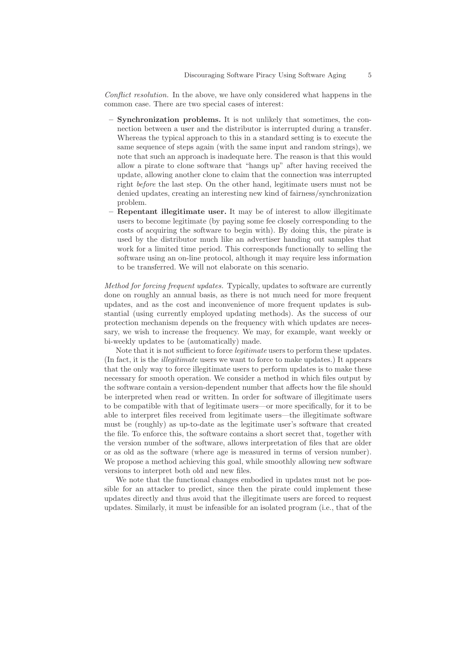*Conflict resolution.* In the above, we have only considered what happens in the common case. There are two special cases of interest:

- **Synchronization problems.** It is not unlikely that sometimes, the connection between a user and the distributor is interrupted during a transfer. Whereas the typical approach to this in a standard setting is to execute the same sequence of steps again (with the same input and random strings), we note that such an approach is inadequate here. The reason is that this would allowa pirate to clone software that "hangs up" after having received the update, allowing another clone to claim that the connection was interrupted right *before* the last step. On the other hand, legitimate users must not be denied updates, creating an interesting newkind of fairness/synchronization problem.
- **Repentant illegitimate user.** It may be of interest to allowillegitimate users to become legitimate (by paying some fee closely corresponding to the costs of acquiring the software to begin with). By doing this, the pirate is used by the distributor much like an advertiser handing out samples that work for a limited time period. This corresponds functionally to selling the software using an on-line protocol, although it may require less information to be transferred. We will not elaborate on this scenario.

*Method for forcing frequent updates.* Typically, updates to software are currently done on roughly an annual basis, as there is not much need for more frequent updates, and as the cost and inconvenience of more frequent updates is substantial (using currently employed updating methods). As the success of our protection mechanism depends on the frequency with which updates are necessary, we wish to increase the frequency. We may, for example, want weekly or bi-weekly updates to be (automatically) made.

Note that it is not sufficient to force *legitimate* users to perform these updates. (In fact, it is the *illegitimate* users we want to force to make updates.) It appears that the only way to force illegitimate users to perform updates is to make these necessary for smooth operation. We consider a method in which files output by the software contain a version-dependent number that affects how the file should be interpreted when read or written. In order for software of illegitimate users to be compatible with that of legitimate users—or more specifically, for it to be able to interpret files received from legitimate users—the illegitimate software must be (roughly) as up-to-date as the legitimate user's software that created the file. To enforce this, the software contains a short secret that, together with the version number of the software, allows interpretation of files that are older or as old as the software (where age is measured in terms of version number). We propose a method achieving this goal, while smoothly allowing new software versions to interpret both old and new files.

We note that the functional changes embodied in updates must not be possible for an attacker to predict, since then the pirate could implement these updates directly and thus avoid that the illegitimate users are forced to request updates. Similarly, it must be infeasible for an isolated program (i.e., that of the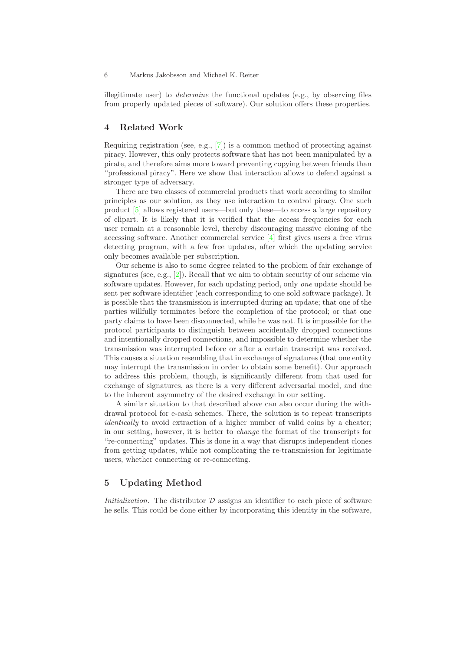<span id="page-5-2"></span><span id="page-5-0"></span>illegitimate user) to *determine* the functional updates (e.g., by observing files from properly updated pieces of software). Our solution offers these properties.

#### **4 Related Work**

Requiring registration (see, e.g., [\[7\]](#page-11-3)) is a common method of protecting against piracy. However, this only protects software that has not been manipulated by a pirate, and therefore aims more toward preventing copying between friends than "professional piracy". Here we show that interaction allows to defend against a stronger type of adversary.

There are two classes of commercial products that work according to similar principles as our solution, as they use interaction to control piracy. One such product [\[5\]](#page-11-4) allows registered users—but only these—to access a large repository of clipart. It is likely that it is verified that the access frequencies for each user remain at a reasonable level, thereby discouraging massive cloning of the accessing software. Another commercial service [\[4\]](#page-11-5) first gives users a free virus detecting program, with a few free updates, after which the updating service only becomes available per subscription.

Our scheme is also to some degree related to the problem of fair exchange of signatures (see, e.g., [\[2\]](#page-11-6)). Recall that we aim to obtain security of our scheme via software updates. However, for each updating period, only *one* update should be sent per software identifier (each corresponding to one sold software package). It is possible that the transmission is interrupted during an update; that one of the parties willfully terminates before the completion of the protocol; or that one party claims to have been disconnected, while he was not. It is impossible for the protocol participants to distinguish between accidentally dropped connections and intentionally dropped connections, and impossible to determine whether the transmission was interrupted before or after a certain transcript was received. This causes a situation resembling that in exchange of signatures (that one entity may interrupt the transmission in order to obtain some benefit). Our approach to address this problem, though, is significantly different from that used for exchange of signatures, as there is a very different adversarial model, and due to the inherent asymmetry of the desired exchange in our setting.

A similar situation to that described above can also occur during the withdrawal protocol for e-cash schemes. There, the solution is to repeat transcripts *identically* to avoid extraction of a higher number of valid coins by a cheater; in our setting, however, it is better to *change* the format of the transcripts for "re-connecting" updates. This is done in a way that disrupts independent clones from getting updates, while not complicating the re-transmission for legitimate users, whether connecting or re-connecting.

### <span id="page-5-1"></span>**5 Updating Method**

*Initialization.* The distributor  $\mathcal{D}$  assigns an identifier to each piece of software he sells. This could be done either by incorporating this identity in the software,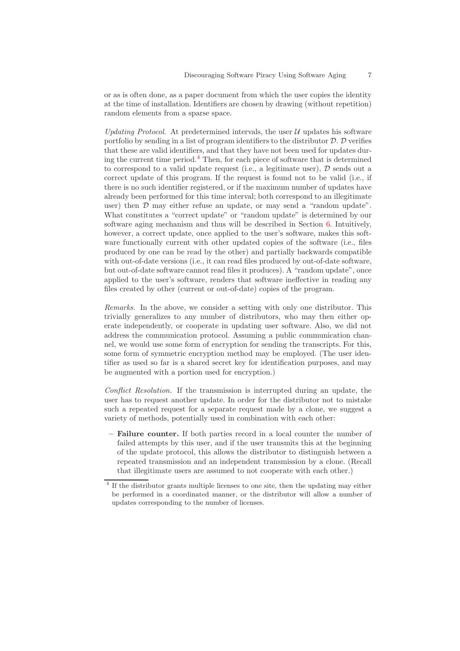or as is often done, as a paper document from which the user copies the identity at the time of installation. Identifiers are chosen by drawing (without repetition) random elements from a sparse space.

*Updating Protocol.* At predetermined intervals, the user  $U$  updates his software portfolio by sending in a list of program identifiers to the distributor *D*. *D* verifies that these are valid identifiers, and that they have not been used for updates dur-ing the current time period.<sup>[4](#page-6-0)</sup> Then, for each piece of software that is determined to correspond to a valid update request (i.e., a legitimate user), *D* sends out a correct update of this program. If the request is found not to be valid (i.e., if there is no such identifier registered, or if the maximum number of updates have already been performed for this time interval; both correspond to an illegitimate user) then  $D$  may either refuse an update, or may send a "random update". What constitutes a "correct update" or "random update" is determined by our software aging mechanism and thus will be described in Section  $6$ . Intuitively, however, a correct update, once applied to the user's software, makes this software functionally current with other updated copies of the software (i.e., files produced by one can be read by the other) and partially backwards compatible with out-of-date versions (i.e., it can read files produced by out-of-date software, but out-of-date software cannot read files it produces). A "random update", once applied to the user's software, renders that software ineffective in reading any files created by other (current or out-of-date) copies of the program.

<span id="page-6-0"></span>*Remarks.* In the above, we consider a setting with only one distributor. This trivially generalizes to any number of distributors, who may then either operate independently, or cooperate in updating user software. Also, we did not address the communication protocol. Assuming a public communication channel, we would use some form of encryption for sending the transcripts. For this, some form of symmetric encryption method may be employed. (The user identifier as used so far is a shared secret key for identification purposes, and may be augmented with a portion used for encryption.)

*Conflict Resolution.* If the transmission is interrupted during an update, the user has to request another update. In order for the distributor not to mistake such a repeated request for a separate request made by a clone, we suggest a variety of methods, potentially used in combination with each other:

**– Failure counter.** If both parties record in a local counter the number of failed attempts by this user, and if the user transmits this at the beginning of the update protocol, this allows the distributor to distinguish between a repeated transmission and an independent transmission by a clone. (Recall that illegitimate users are assumed to not cooperate with each other.)

<sup>4</sup> If the distributor grants multiple licenses to one site, then the updating may either be performed in a coordinated manner, or the distributor will allow a number of updates corresponding to the number of licenses.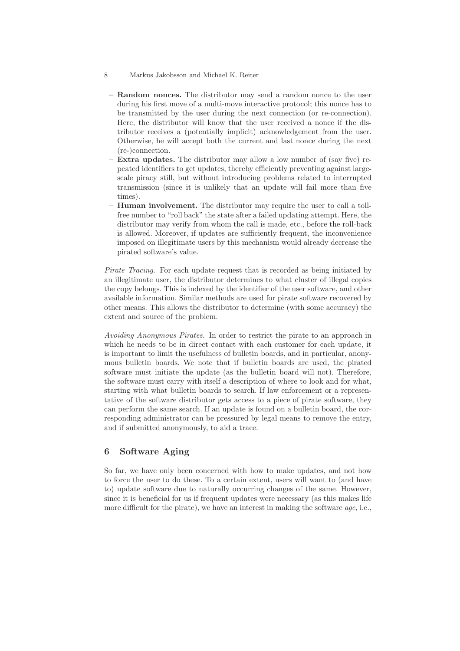- **Random nonces.** The distributor may send a random nonce to the user during his first move of a multi-move interactive protocol; this nonce has to be transmitted by the user during the next connection (or re-connection). Here, the distributor will know that the user received a nonce if the distributor receives a (potentially implicit) acknowledgement from the user. Otherwise, he will accept both the current and last nonce during the next (re-)connection.
- **Extra updates.** The distributor may allowa lownumber of (say five) repeated identifiers to get updates, thereby efficiently preventing against largescale piracy still, but without introducing problems related to interrupted transmission (since it is unlikely that an update will fail more than five times).
- **Human involvement.** The distributor may require the user to call a tollfree number to "roll back" the state after a failed updating attempt. Here, the distributor may verify from whom the call is made, etc., before the roll-back is allowed. Moreover, if updates are sufficiently frequent, the inconvenience imposed on illegitimate users by this mechanism would already decrease the pirated software's value.

*Pirate Tracing.* For each update request that is recorded as being initiated by an illegitimate user, the distributor determines to what cluster of illegal copies the copy belongs. This is indexed by the identifier of the user software, and other available information. Similar methods are used for pirate software recovered by other means. This allows the distributor to determine (with some accuracy) the extent and source of the problem.

*Avoiding Anonymous Pirates.* In order to restrict the pirate to an approach in which he needs to be in direct contact with each customer for each update, it is important to limit the usefulness of bulletin boards, and in particular, anonymous bulletin boards. We note that if bulletin boards are used, the pirated software must initiate the update (as the bulletin board will not). Therefore, the software must carry with itself a description of where to look and for what, starting with what bulletin boards to search. If law enforcement or a representative of the software distributor gets access to a piece of pirate software, they can perform the same search. If an update is found on a bulletin board, the corresponding administrator can be pressured by legal means to remove the entry, and if submitted anonymously, to aid a trace.

# <span id="page-7-1"></span><span id="page-7-0"></span>**6 Software Aging**

So far, we have only been concerned with how to make updates, and not how to force the user to do these. To a certain extent, users will want to (and have to) update software due to naturally occurring changes of the same. However, since it is beneficial for us if frequent updates were necessary (as this makes life more difficult for the pirate), we have an interest in making the software *age*, i.e.,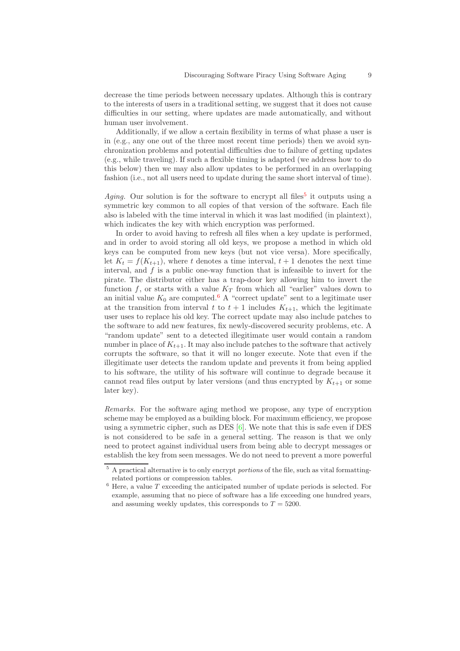<span id="page-8-2"></span>decrease the time periods between necessary updates. Although this is contrary to the interests of users in a traditional setting, we suggest that it does not cause difficulties in our setting, where updates are made automatically, and without human user involvement.

Additionally, if we allow a certain flexibility in terms of what phase a user is in (e.g., any one out of the three most recent time periods) then we avoid synchronization problems and potential difficulties due to failure of getting updates (e.g., while traveling). If such a flexible timing is adapted (we address how to do this below) then we may also allow updates to be performed in an overlapping fashion (i.e., not all users need to update during the same short interval of time).

*Aging.* Our solution is for the software to encrypt all files<sup>[5](#page-8-0)</sup> it outputs using a symmetric key common to all copies of that version of the software. Each file also is labeled with the time interval in which it was last modified (in plaintext), which indicates the key with which encryption was performed.

<span id="page-8-0"></span>In order to avoid having to refresh all files when a key update is performed, and in order to avoid storing all old keys, we propose a method in which old keys can be computed from newkeys (but not vice versa). More specifically, let  $K_t = f(K_{t+1})$ , where t denotes a time interval,  $t+1$  denotes the next time interval, and  $f$  is a public one-way function that is infeasible to invert for the pirate. The distributor either has a trap-door key allowing him to invert the function f, or starts with a value  $K_T$  from which all "earlier" values down to an initial value  $K_0$  are computed.<sup>[6](#page-8-1)</sup> A "correct update" sent to a legitimate user at the transition from interval t to  $t + 1$  includes  $K_{t+1}$ , which the legitimate user uses to replace his old key. The correct update may also include patches to the software to add new features, fix newly-discovered security problems, etc. A "random update" sent to a detected illegitimate user would contain a random number in place of  $K_{t+1}$ . It may also include patches to the software that actively corrupts the software, so that it will no longer execute. Note that even if the illegitimate user detects the random update and prevents it from being applied to his software, the utility of his software will continue to degrade because it cannot read files output by later versions (and thus encrypted by  $K_{t+1}$  or some later key).

<span id="page-8-1"></span>*Remarks.* For the software aging method we propose, any type of encryption scheme may be employed as a building block. For maximum efficiency, we propose using a symmetric cipher, such as DES [\[6\]](#page-11-7). We note that this is safe even if DES is not considered to be safe in a general setting. The reason is that we only need to protect against individual users from being able to decrypt messages or establish the key from seen messages. We do not need to prevent a more powerful

<sup>5</sup> A practical alternative is to only encrypt *portions* of the file, such as vital formattingrelated portions or compression tables.

 $6$  Here, a value  $T$  exceeding the anticipated number of update periods is selected. For example, assuming that no piece of software has a life exceeding one hundred years, and assuming weekly updates, this corresponds to  $T = 5200$ .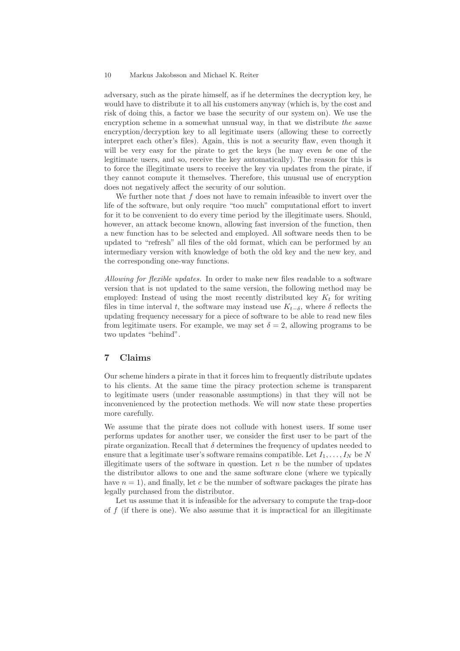adversary, such as the pirate himself, as if he determines the decryption key, he would have to distribute it to all his customers anyway (which is, by the cost and risk of doing this, a factor we base the security of our system on). We use the encryption scheme in a somewhat unusual way, in that we distribute *the same* encryption/decryption key to all legitimate users (allowing these to correctly interpret each other's files). Again, this is not a security flaw, even though it will be very easy for the pirate to get the keys (he may even *be* one of the legitimate users, and so, receive the key automatically). The reason for this is to force the illegitimate users to receive the key via updates from the pirate, if they cannot compute it themselves. Therefore, this unusual use of encryption does not negatively affect the security of our solution.

We further note that  $f$  does not have to remain infeasible to invert over the life of the software, but only require "too much" computational effort to invert for it to be convenient to do every time period by the illegitimate users. Should, however, an attack become known, allowing fast inversion of the function, then a new function has to be selected and employed. All software needs then to be updated to "refresh" all files of the old format, which can be performed by an intermediary version with knowledge of both the old key and the new key, and the corresponding one-way functions.

*Allowing for flexible updates.* In order to make new files readable to a software version that is not updated to the same version, the following method may be employed: Instead of using the most recently distributed key  $K_t$  for writing files in time interval t, the software may instead use  $K_{t-\delta}$ , where  $\delta$  reflects the updating frequency necessary for a piece of software to be able to read new files from legitimate users. For example, we may set  $\delta = 2$ , allowing programs to be two updates "behind".

### <span id="page-9-0"></span>**7 Claims**

Our scheme hinders a pirate in that it forces him to frequently distribute updates to his clients. At the same time the piracy protection scheme is transparent to legitimate users (under reasonable assumptions) in that they will not be inconvenienced by the protection methods. We will now state these properties more carefully.

We assume that the pirate does not collude with honest users. If some user performs updates for another user, we consider the first user to be part of the pirate organization. Recall that  $\delta$  determines the frequency of updates needed to ensure that a legitimate user's software remains compatible. Let  $I_1, \ldots, I_N$  be N illegitimate users of the software in question. Let  $n$  be the number of updates the distributor allows to one and the same software clone (where we typically have  $n = 1$ , and finally, let c be the number of software packages the pirate has legally purchased from the distributor.

Let us assume that it is infeasible for the adversary to compute the trap-door of  $f$  (if there is one). We also assume that it is impractical for an illegitimate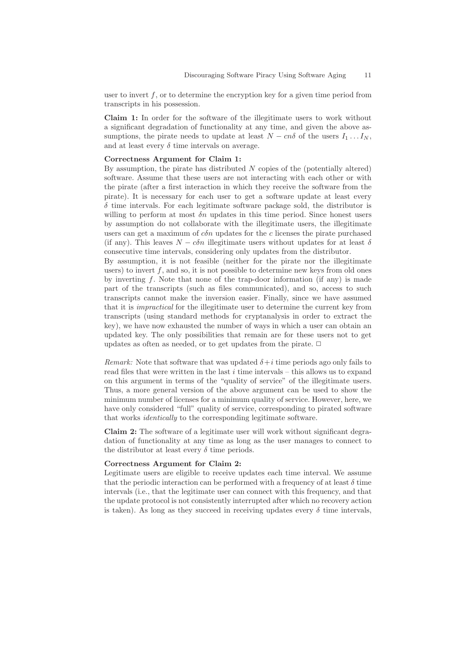user to invert  $f$ , or to determine the encryption key for a given time period from transcripts in his possession.

**Claim 1:** In order for the software of the illegitimate users to work without a significant degradation of functionality at any time, and given the above assumptions, the pirate needs to update at least  $N - cn\delta$  of the users  $I_1 \dots I_N$ , and at least every  $\delta$  time intervals on average.

#### **Correctness Argument for Claim 1:**

By assumption, the pirate has distributed  $N$  copies of the (potentially altered) software. Assume that these users are not interacting with each other or with the pirate (after a first interaction in which they receive the software from the pirate). It is necessary for each user to get a software update at least every  $\delta$  time intervals. For each legitimate software package sold, the distributor is willing to perform at most  $\delta n$  updates in this time period. Since honest users by assumption do not collaborate with the illegitimate users, the illegitimate users can get a maximum of  $c\delta n$  updates for the c licenses the pirate purchased (if any). This leaves  $N - c\delta n$  illegitimate users without updates for at least  $\delta$ consecutive time intervals, considering only updates from the distributor.

By assumption, it is not feasible (neither for the pirate nor the illegitimate users) to invert  $f$ , and so, it is not possible to determine new keys from old ones by inverting  $f$ . Note that none of the trap-door information (if any) is made part of the transcripts (such as files communicated), and so, access to such transcripts cannot make the inversion easier. Finally, since we have assumed that it is *impractical* for the illegitimate user to determine the current key from transcripts (using standard methods for cryptanalysis in order to extract the key), we have now exhausted the number of ways in which a user can obtain an updated key. The only possibilities that remain are for these users not to get updates as often as needed, or to get updates from the pirate.  $\Box$ 

*Remark:* Note that software that was updated  $\delta + i$  time periods ago only fails to read files that were written in the last  $i$  time intervals  $-$  this allows us to expand on this argument in terms of the "quality of service" of the illegitimate users. Thus, a more general version of the above argument can be used to showthe minimum number of licenses for a minimum quality of service. However, here, we have only considered "full" quality of service, corresponding to pirated software that works *identically* to the corresponding legitimate software.

**Claim 2:** The software of a legitimate user will work without significant degradation of functionality at any time as long as the user manages to connect to the distributor at least every  $\delta$  time periods.

#### **Correctness Argument for Claim 2:**

Legitimate users are eligible to receive updates each time interval. We assume that the periodic interaction can be performed with a frequency of at least  $\delta$  time intervals (i.e., that the legitimate user can connect with this frequency, and that the update protocol is not consistently interrupted after which no recovery action is taken). As long as they succeed in receiving updates every  $\delta$  time intervals,